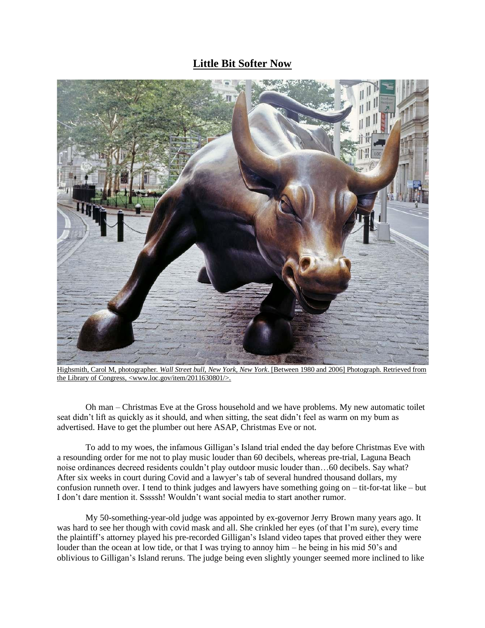## **Little Bit Softer Now**



Highsmith, Carol M, photographer. *Wall Street bull, New York, New York*. [Between 1980 and 2006] Photograph. Retrieved from the Library of Congress, <www.loc.gov/item/2011630801/>.

Oh man – Christmas Eve at the Gross household and we have problems. My new automatic toilet seat didn't lift as quickly as it should, and when sitting, the seat didn't feel as warm on my bum as advertised. Have to get the plumber out here ASAP, Christmas Eve or not.

To add to my woes, the infamous Gilligan's Island trial ended the day before Christmas Eve with a resounding order for me not to play music louder than 60 decibels, whereas pre-trial, Laguna Beach noise ordinances decreed residents couldn't play outdoor music louder than…60 decibels. Say what? After six weeks in court during Covid and a lawyer's tab of several hundred thousand dollars, my confusion runneth over. I tend to think judges and lawyers have something going on – tit-for-tat like – but I don't dare mention it. Sssssh! Wouldn't want social media to start another rumor.

My 50-something-year-old judge was appointed by ex-governor Jerry Brown many years ago. It was hard to see her though with covid mask and all. She crinkled her eyes (of that I'm sure), every time the plaintiff's attorney played his pre-recorded Gilligan's Island video tapes that proved either they were louder than the ocean at low tide, or that I was trying to annoy him – he being in his mid 50's and oblivious to Gilligan's Island reruns. The judge being even slightly younger seemed more inclined to like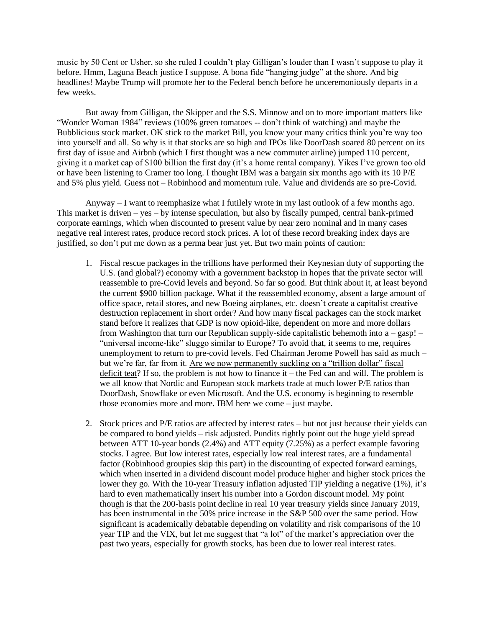music by 50 Cent or Usher, so she ruled I couldn't play Gilligan's louder than I wasn't suppose to play it before. Hmm, Laguna Beach justice I suppose. A bona fide "hanging judge" at the shore. And big headlines! Maybe Trump will promote her to the Federal bench before he unceremoniously departs in a few weeks.

But away from Gilligan, the Skipper and the S.S. Minnow and on to more important matters like "Wonder Woman 1984" reviews (100% green tomatoes -- don't think of watching) and maybe the Bubblicious stock market. OK stick to the market Bill, you know your many critics think you're way too into yourself and all. So why is it that stocks are so high and IPOs like DoorDash soared 80 percent on its first day of issue and Airbnb (which I first thought was a new commuter airline) jumped 110 percent, giving it a market cap of \$100 billion the first day (it's a home rental company). Yikes I've grown too old or have been listening to Cramer too long. I thought IBM was a bargain six months ago with its 10 P/E and 5% plus yield. Guess not – Robinhood and momentum rule. Value and dividends are so pre-Covid.

Anyway – I want to reemphasize what I futilely wrote in my last outlook of a few months ago. This market is driven – yes – by intense speculation, but also by fiscally pumped, central bank-primed corporate earnings, which when discounted to present value by near zero nominal and in many cases negative real interest rates, produce record stock prices. A lot of these record breaking index days are justified, so don't put me down as a perma bear just yet. But two main points of caution:

- 1. Fiscal rescue packages in the trillions have performed their Keynesian duty of supporting the U.S. (and global?) economy with a government backstop in hopes that the private sector will reassemble to pre-Covid levels and beyond. So far so good. But think about it, at least beyond the current \$900 billion package. What if the reassembled economy, absent a large amount of office space, retail stores, and new Boeing airplanes, etc. doesn't create a capitalist creative destruction replacement in short order? And how many fiscal packages can the stock market stand before it realizes that GDP is now opioid-like, dependent on more and more dollars from Washington that turn our Republican supply-side capitalistic behemoth into  $a - gasp!$  – "universal income-like" sluggo similar to Europe? To avoid that, it seems to me, requires unemployment to return to pre-covid levels. Fed Chairman Jerome Powell has said as much – but we're far, far from it. Are we now permanently suckling on a "trillion dollar" fiscal deficit teat? If so, the problem is not how to finance it – the Fed can and will. The problem is we all know that Nordic and European stock markets trade at much lower P/E ratios than DoorDash, Snowflake or even Microsoft. And the U.S. economy is beginning to resemble those economies more and more. IBM here we come – just maybe.
- 2. Stock prices and P/E ratios are affected by interest rates but not just because their yields can be compared to bond yields – risk adjusted. Pundits rightly point out the huge yield spread between ATT 10-year bonds (2.4%) and ATT equity (7.25%) as a perfect example favoring stocks. I agree. But low interest rates, especially low real interest rates, are a fundamental factor (Robinhood groupies skip this part) in the discounting of expected forward earnings, which when inserted in a dividend discount model produce higher and higher stock prices the lower they go. With the 10-year Treasury inflation adjusted TIP yielding a negative (1%), it's hard to even mathematically insert his number into a Gordon discount model. My point though is that the 200-basis point decline in real 10 year treasury yields since January 2019, has been instrumental in the 50% price increase in the S&P 500 over the same period. How significant is academically debatable depending on volatility and risk comparisons of the 10 year TIP and the VIX, but let me suggest that "a lot" of the market's appreciation over the past two years, especially for growth stocks, has been due to lower real interest rates.